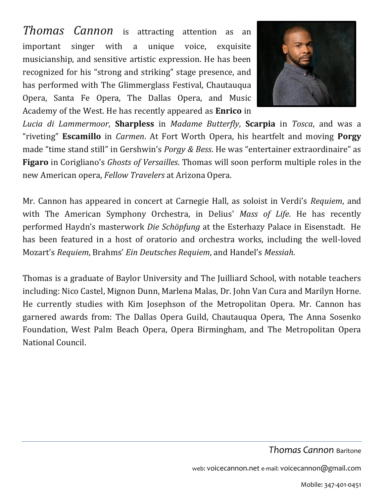*Thomas Cannon* is attracting attention as an important singer with a unique voice, exquisite musicianship, and sensitive artistic expression. He has been recognized for his "strong and striking" stage presence, and has performed with The Glimmerglass Festival, Chautauqua Opera, Santa Fe Opera, The Dallas Opera, and Music Academy of the West. He has recently appeared as **Enrico** in



*Lucia di Lammermoor*, **Sharpless** in *Madame Butterfly*, **Scarpia** in *Tosca*, and was a "riveting" **Escamillo** in *Carmen*. At Fort Worth Opera, his heartfelt and moving **Porgy** made "time stand still" in Gershwin's *Porgy & Bess*. He was "entertainer extraordinaire" as **Figaro** in Corigliano's *Ghosts of Versailles*. Thomas will soon perform multiple roles in the new American opera, *Fellow Travelers* at Arizona Opera.

Mr. Cannon has appeared in concert at Carnegie Hall, as soloist in Verdi's *Requiem*, and with The American Symphony Orchestra, in Delius' *Mass of Life*. He has recently performed Haydn's masterwork *Die Schöpfung* at the Esterhazy Palace in Eisenstadt. He has been featured in a host of oratorio and orchestra works, including the well-loved Mozart's *Requiem*, Brahms' *Ein Deutsches Requiem*, and Handel's *Messiah*.

Thomas is a graduate of Baylor University and The Juilliard School, with notable teachers including: Nico Castel, Mignon Dunn, Marlena Malas, Dr. John Van Cura and Marilyn Horne. He currently studies with Kim Josephson of the Metropolitan Opera. Mr. Cannon has garnered awards from: The Dallas Opera Guild, Chautauqua Opera, The Anna Sosenko Foundation, West Palm Beach Opera, Opera Birmingham, and The Metropolitan Opera National Council.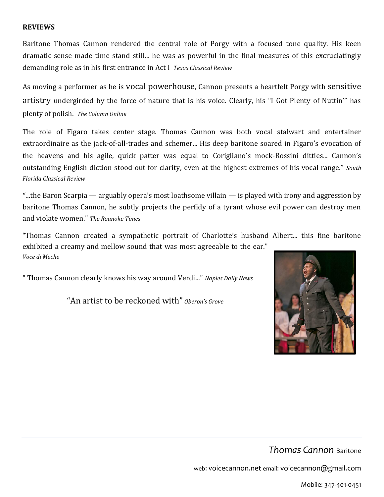#### **REVIEWS**

Baritone Thomas Cannon rendered the central role of Porgy with a focused tone quality. His keen dramatic sense made time stand still... he was as powerful in the final measures of this excruciatingly demanding role as in his first entrance in Act I *Texas Classical Review*

As moving a performer as he is vocal powerhouse, Cannon presents a heartfelt Porgy with sensitive artistry undergirded by the force of nature that is his voice. Clearly, his "I Got Plenty of Nuttin'" has plenty of polish. *The Column Online*

The role of Figaro takes center stage. Thomas Cannon was both vocal stalwart and entertainer extraordinaire as the jack-of-all-trades and schemer... His deep baritone soared in Figaro's evocation of the heavens and his agile, quick patter was equal to Corigliano's mock-Rossini ditties... Cannon's outstanding English diction stood out for clarity, even at the highest extremes of his vocal range." *South Florida Classical Review*

"...the Baron Scarpia — arguably opera's most loathsome villain — is played with irony and aggression by baritone Thomas Cannon, he subtly projects the perfidy of a tyrant whose evil power can destroy men and violate women." *The Roanoke Times*

"Thomas Cannon created a sympathetic portrait of Charlotte's husband Albert... this fine baritone exhibited a creamy and mellow sound that was most agreeable to the ear." *Voce di Meche*

" Thomas Cannon clearly knows his way around Verdi..." *Naples Daily News*

"An artist to be reckoned with" *Oberon's Grove*



*Thomas Cannon* Baritone

web: voicecannon.net email: voicecannon@gmail.com

Mobile: 347-401-0451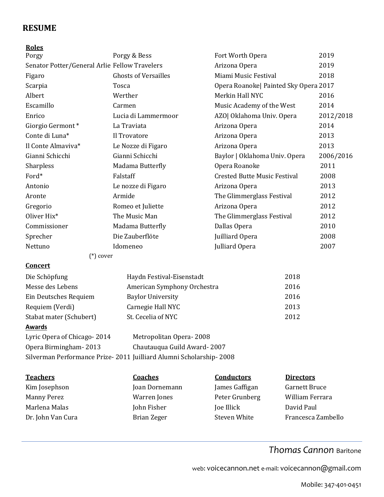### **RESUME**

#### **Roles**

| Porgy                                                                | Porgy & Bess                | Fort Worth Opera                      | 2019      |  |  |  |
|----------------------------------------------------------------------|-----------------------------|---------------------------------------|-----------|--|--|--|
| Senator Potter/General Arlie Fellow Travelers                        |                             | Arizona Opera                         | 2019      |  |  |  |
| Figaro                                                               | <b>Ghosts of Versailles</b> | Miami Music Festival                  | 2018      |  |  |  |
| Scarpia                                                              | Tosca                       | Opera Roanoke  Painted Sky Opera 2017 |           |  |  |  |
| Albert                                                               | Werther                     | Merkin Hall NYC                       | 2016      |  |  |  |
| Escamillo                                                            | Carmen                      | Music Academy of the West             | 2014      |  |  |  |
| Enrico                                                               | Lucia di Lammermoor         | AZO  Oklahoma Univ. Opera             | 2012/2018 |  |  |  |
| Giorgio Germont*                                                     | La Traviata                 | Arizona Opera                         | 2014      |  |  |  |
| Conte di Luna*                                                       | Il Trovatore                | Arizona Opera                         | 2013      |  |  |  |
| Il Conte Almaviva*                                                   | Le Nozze di Figaro          | Arizona Opera                         | 2013      |  |  |  |
| Gianni Schicchi                                                      | Gianni Schicchi             | Baylor   Oklahoma Univ. Opera         | 2006/2016 |  |  |  |
| Sharpless                                                            | Madama Butterfly            | Opera Roanoke                         | 2011      |  |  |  |
| Ford*                                                                | Falstaff                    | <b>Crested Butte Music Festival</b>   | 2008      |  |  |  |
| Antonio                                                              | Le nozze di Figaro          | Arizona Opera                         | 2013      |  |  |  |
| Aronte                                                               | Armide                      | The Glimmerglass Festival             | 2012      |  |  |  |
| Gregorio                                                             | Romeo et Juliette           | Arizona Opera                         | 2012      |  |  |  |
| Oliver Hix*                                                          | The Music Man               | The Glimmerglass Festival             | 2012      |  |  |  |
| Commissioner                                                         | Madama Butterfly            | Dallas Opera                          | 2010      |  |  |  |
| Sprecher                                                             | Die Zauberflöte             | Juilliard Opera                       | 2008      |  |  |  |
| Nettuno                                                              | Idomeneo                    | Julliard Opera                        | 2007      |  |  |  |
| $(*)$ cover                                                          |                             |                                       |           |  |  |  |
| <b>Concert</b>                                                       |                             |                                       |           |  |  |  |
| Die Schöpfung                                                        | Haydn Festival-Eisenstadt   | 2018                                  |           |  |  |  |
| Messe des Lebens                                                     | American Symphony Orchestra | 2016                                  |           |  |  |  |
| Ein Deutsches Requiem                                                | <b>Baylor University</b>    | 2016                                  |           |  |  |  |
| Requiem (Verdi)                                                      | Carnegie Hall NYC           | 2013                                  |           |  |  |  |
| Stabat mater (Schubert)                                              | St. Cecelia of NYC          | 2012                                  |           |  |  |  |
| <b>Awards</b>                                                        |                             |                                       |           |  |  |  |
| Lyric Opera of Chicago-2014                                          | Metropolitan Opera-2008     |                                       |           |  |  |  |
| Opera Birmingham-2013                                                | Chautauqua Guild Award-2007 |                                       |           |  |  |  |
| Silverman Performance Prize- 2011 Juilliard Alumni Scholarship- 2008 |                             |                                       |           |  |  |  |

| <b>Teachers</b>    | <b>Coaches</b>      | <b>Conductors</b> | <b>Directors</b>     |
|--------------------|---------------------|-------------------|----------------------|
| Kim Josephson      | Joan Dornemann      | James Gaffigan    | <b>Garnett Bruce</b> |
| <b>Manny Perez</b> | <b>Warren</b> Jones | Peter Grunberg    | William Ferrara      |
| Marlena Malas      | John Fisher         | Joe Illick        | David Paul           |
| Dr. John Van Cura  | Brian Zeger         | Steven White      | Francesca Zambello   |

## *Thomas Cannon* Baritone

web: voicecannon.net e-mail: voicecannon@gmail.com